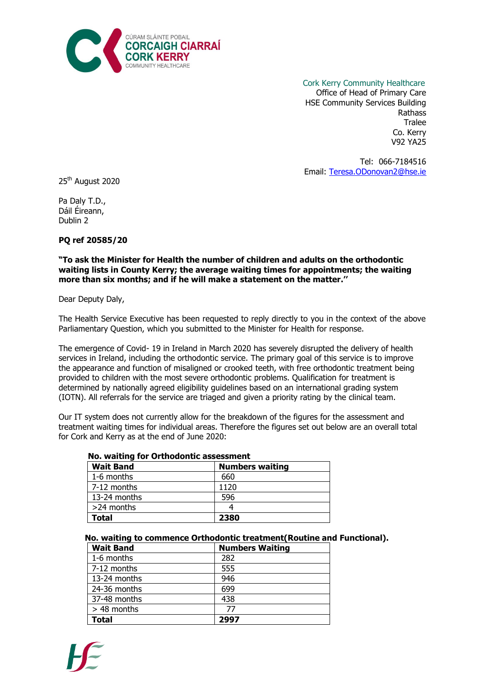

 Cork Kerry Community Healthcare Office of Head of Primary Care HSE Community Services Building Rathass Tralee Co. Kerry V92 YA25

Tel: 066-7184516 Email: [Teresa.ODonovan2@hse.ie](mailto:Teresa.ODonovan2@hse.ie)

25<sup>th</sup> August 2020

Pa Daly T.D., Dáil Éireann, Dublin 2

## **PQ ref 20585/20**

## **"To ask the Minister for Health the number of children and adults on the orthodontic waiting lists in County Kerry; the average waiting times for appointments; the waiting more than six months; and if he will make a statement on the matter.''**

Dear Deputy Daly,

The Health Service Executive has been requested to reply directly to you in the context of the above Parliamentary Question, which you submitted to the Minister for Health for response.

The emergence of Covid- 19 in Ireland in March 2020 has severely disrupted the delivery of health services in Ireland, including the orthodontic service. The primary goal of this service is to improve the appearance and function of misaligned or crooked teeth, with free orthodontic treatment being provided to children with the most severe orthodontic problems. Qualification for treatment is determined by nationally agreed eligibility guidelines based on an international grading system (IOTN). All referrals for the service are triaged and given a priority rating by the clinical team.

Our IT system does not currently allow for the breakdown of the figures for the assessment and treatment waiting times for individual areas. Therefore the figures set out below are an overall total for Cork and Kerry as at the end of June 2020:

## **No. waiting for Orthodontic assessment**

| <b>Wait Band</b>     | <b>Numbers waiting</b> |
|----------------------|------------------------|
| 1-6 months           | 660                    |
| $\sqrt{7-12}$ months | 1120                   |
| $\vert$ 13-24 months | 596                    |
| >24 months           |                        |
| <b>Total</b>         | 2380                   |

## **No. waiting to commence Orthodontic treatment(Routine and Functional).**

| <b>Wait Band</b> | <b>Numbers Waiting</b> |
|------------------|------------------------|
| 1-6 months       | 282                    |
| 7-12 months      | 555                    |
| 13-24 months     | 946                    |
| 24-36 months     | 699                    |
| 37-48 months     | 438                    |
| > 48 months      | 77                     |
| <b>Total</b>     | 2997                   |